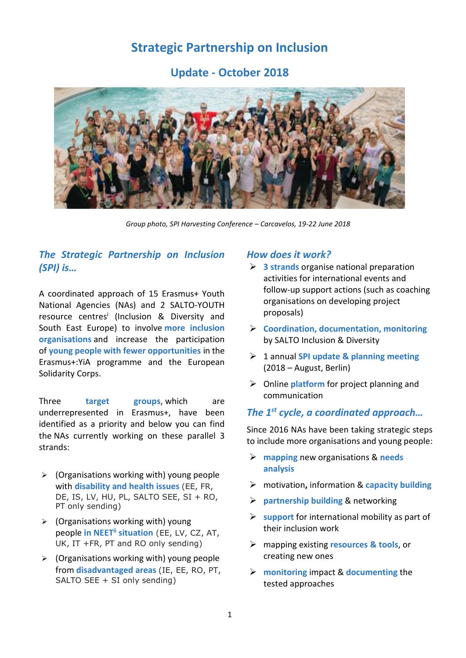# **Strategic Partnership on Inclusion**

**Update - October 2018**



*Group photo, SPI Harvesting Conference – Carcavelos, 19-22 June 2018*

## *The Strategic Partnership on Inclusion (SPI) is…*

A coordinated approach of 15 Erasmus+ Youth National Agencies (NAs) and 2 SALTO-YOUTH resource centres<sup>i</sup> (Inclusion & Diversity and South East Europe) to involve **more inclusion organisations** and increase the participation of **young people with fewer opportunities** in the Erasmus+:YiA programme and the European Solidarity Corps.

Three **target groups**, which are underrepresented in Erasmus+, have been identified as a priority and below you can find the NAs currently working on these parallel 3 strands:

- $\triangleright$  (Organisations working with) young people with **disability and health issues** (EE, FR, DE, IS, LV, HU, PL, SALTO SEE, SI + RO, PT only sending)
- $\triangleright$  (Organisations working with) young people **in NEETii situation** (EE, LV, CZ, AT, UK, IT +FR, PT and RO only sending)
- $\triangleright$  (Organisations working with) young people from **disadvantaged areas** (IE, EE, RO, PT, SALTO SEE + SI only sending)

#### *How does it work?*

- **3 strands** organise national preparation activities for international events and follow-up support actions (such as coaching organisations on developing project proposals)
- **Coordination, documentation, monitoring**  by SALTO Inclusion & Diversity
- 1 annual **SPI update & planning meeting**  (2018 – August, Berlin)
- Online **platform** for project planning and communication

### *The 1st cycle, a coordinated approach…*

Since 2016 NAs have been taking strategic steps to include more organisations and young people:

- **mapping** new organisations & **needs analysis**
- motivation**,** information & **capacity building**
- **partnership building** & networking
- **Support** for international mobility as part of their inclusion work
- mapping existing **resources & tools**, or creating new ones
- **monitoring** impact & **documenting** the tested approaches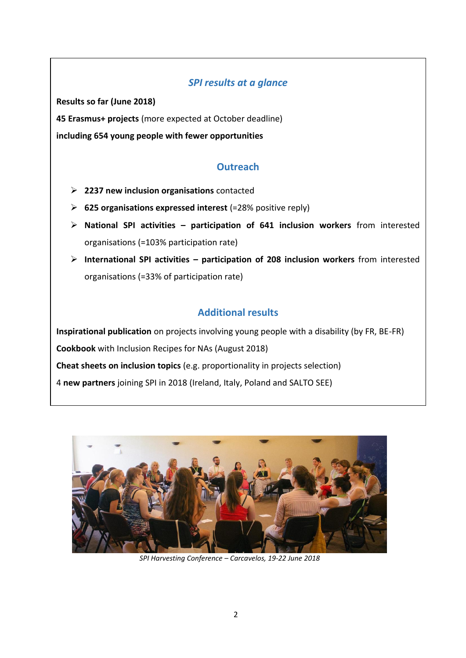### *SPI results at a glance*

**Results so far (June 2018)**

**45 Erasmus+ projects** (more expected at October deadline)

**including 654 young people with fewer opportunities**

## **Outreach**

- **2237 new inclusion organisations** contacted
- **625 organisations expressed interest** (=28% positive reply)
- **National SPI activities – participation of 641 inclusion workers** from interested organisations (=103% participation rate)
- **International SPI activities – participation of 208 inclusion workers** from interested organisations (=33% of participation rate)

## **Additional results**

**Inspirational publication** on projects involving young people with a disability (by FR, BE-FR) **Cookbook** with Inclusion Recipes for NAs (August 2018) **Cheat sheets on inclusion topics** (e.g. proportionality in projects selection) 4 **new partners** joining SPI in 2018 (Ireland, Italy, Poland and SALTO SEE)



*SPI Harvesting Conference – Carcavelos, 19-22 June 2018*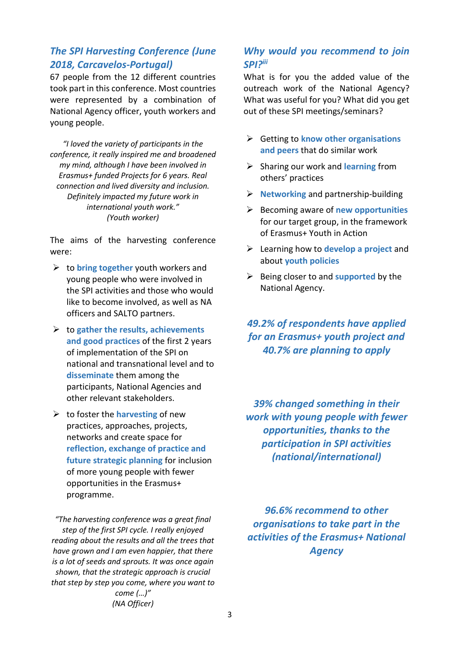## *The SPI Harvesting Conference (June 2018, Carcavelos-Portugal)*

67 people from the 12 different countries took part in this conference. Most countries were represented by a combination of National Agency officer, youth workers and young people.

*"I loved the variety of participants in the conference, it really inspired me and broadened my mind, although I have been involved in Erasmus+ funded Projects for 6 years. Real connection and lived diversity and inclusion. Definitely impacted my future work in international youth work." (Youth worker)*

The aims of the harvesting conference were:

- $\triangleright$  to **bring together** youth workers and young people who were involved in the SPI activities and those who would like to become involved, as well as NA officers and SALTO partners.
- to **gather the results, achievements and good practices** of the first 2 years of implementation of the SPI on national and transnational level and to **disseminate** them among the participants, National Agencies and other relevant stakeholders.
- $\triangleright$  to foster the **harvesting** of new practices, approaches, projects, networks and create space for **reflection, exchange of practice and future strategic planning** for inclusion of more young people with fewer opportunities in the Erasmus+ programme.

*"The harvesting conference was a great final step of the first SPI cycle. I really enjoyed reading about the results and all the trees that have grown and I am even happier, that there is a lot of seeds and sprouts. It was once again shown, that the strategic approach is crucial that step by step you come, where you want to* 

*come (…)" (NA Officer)*

### *Why would you recommend to join SPI?iii*

What is for you the added value of the outreach work of the National Agency? What was useful for you? What did you get out of these SPI meetings/seminars?

- Getting to **know other organisations and peers** that do similar work
- Sharing our work and **learning** from others' practices
- **Networking** and partnership-building
- Becoming aware of **new opportunities** for our target group, in the framework of Erasmus+ Youth in Action
- Learning how to **develop a project** and about **youth policies**
- Being closer to and **supported** by the National Agency.

## *49.2% of respondents have applied for an Erasmus+ youth project and 40.7% are planning to apply*

*39% changed something in their work with young people with fewer opportunities, thanks to the participation in SPI activities (national/international)*

*96.6% recommend to other organisations to take part in the activities of the Erasmus+ National Agency*